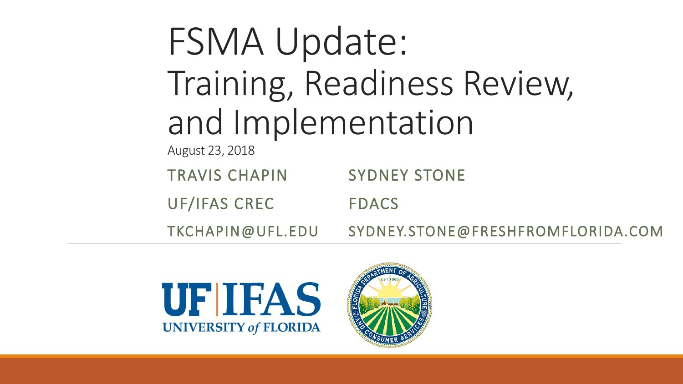# FSMA Update: Training, Readiness Review, and Implementation

August 23, 2018

TRAVIS CHAPIN SYDNEY STONE

UF/IFAS CREC

FDACS

TKCHAPIN@UFL.EDU

SYDNEY.STONE@FRESHFROMFLORIDA.COM



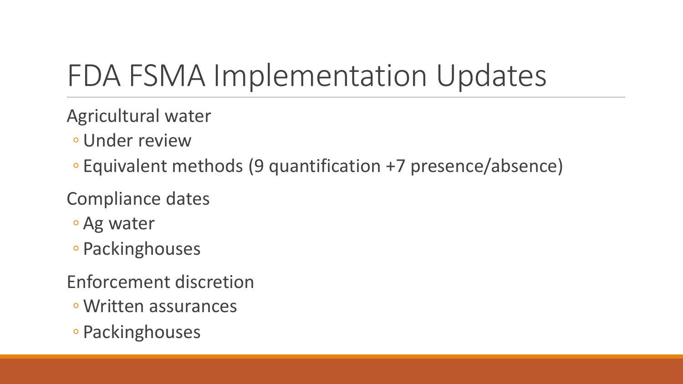## FDA FSMA Implementation Updates

- Agricultural water
	- Under review
	- Equivalent methods (9 quantification +7 presence/absence)
- Compliance dates
	- Ag water
	- Packinghouses
- Enforcement discretion
	- Written assurances
- Packinghouses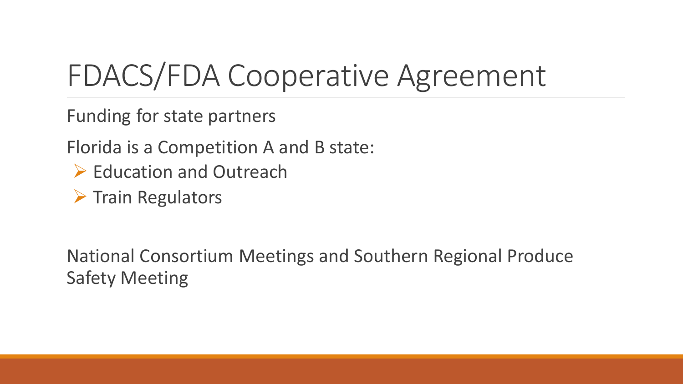### FDACS/FDA Cooperative Agreement

Funding for state partners

Florida is a Competition A and B state:

- $\triangleright$  Education and Outreach
- $\triangleright$  Train Regulators

National Consortium Meetings and Southern Regional Produce Safety Meeting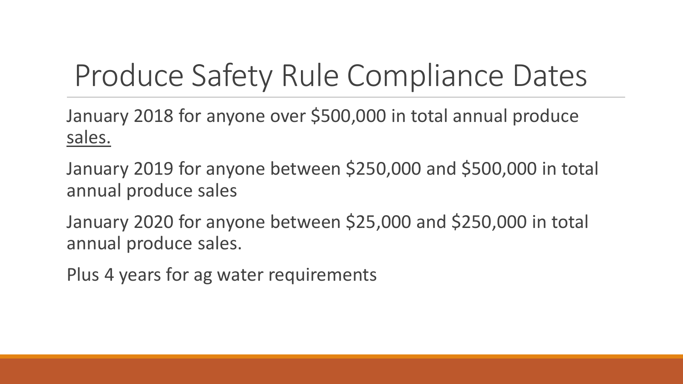## Produce Safety Rule Compliance Dates

January 2018 for anyone over \$500,000 in total annual produce sales.

January 2019 for anyone between \$250,000 and \$500,000 in total annual produce sales

January 2020 for anyone between \$25,000 and \$250,000 in total annual produce sales.

Plus 4 years for ag water requirements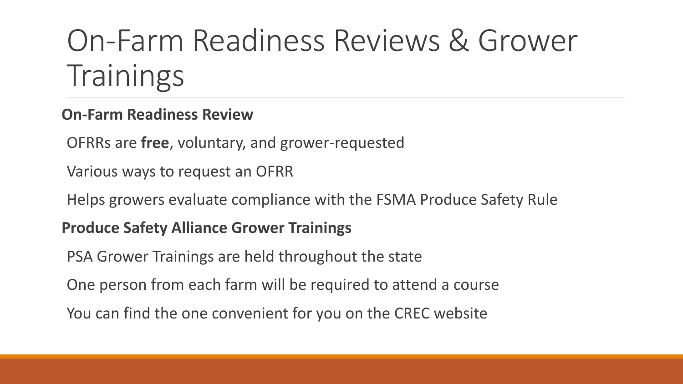## On-Farm Readiness Reviews & Grower **Trainings**

#### **On-Farm Readiness Review**

OFRRs are **free**, voluntary, and grower-requested

Various ways to request an OFRR

Helps growers evaluate compliance with the FSMA Produce Safety Rule

#### **Produce Safety Alliance Grower Trainings**

PSA Grower Trainings are held throughout the state

One person from each farm will be required to attend a course

You can find the one convenient for you on the CREC website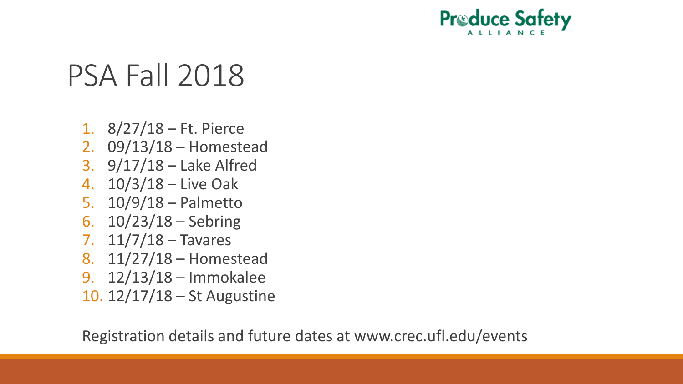

### PSA Fall 2018

- 1. 8/27/18 Ft. Pierce
- 2. 09/13/18 Homestead
- 3. 9/17/18 Lake Alfred
- 4. 10/3/18 Live Oak
- 5. 10/9/18 Palmetto
- 6. 10/23/18 Sebring
- 7. 11/7/18 Tavares
- 8. 11/27/18 Homestead
- 9. 12/13/18 Immokalee
- 10. 12/17/18 St Augustine

Registration details and future dates at www.crec.ufl.edu/events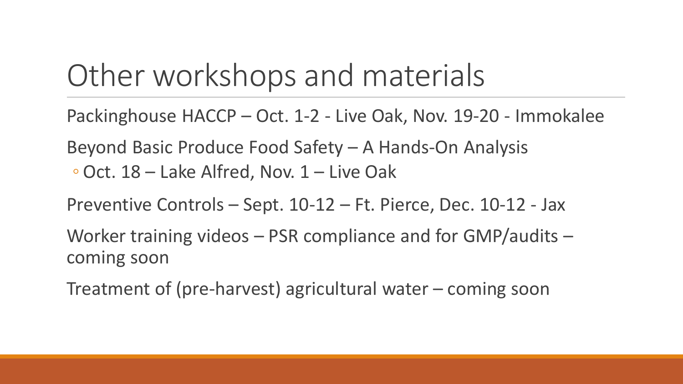### Other workshops and materials

- Packinghouse HACCP Oct. 1-2 Live Oak, Nov. 19-20 Immokalee
- Beyond Basic Produce Food Safety A Hands-On Analysis
- ◦Oct. 18 Lake Alfred, Nov. 1 Live Oak
- Preventive Controls Sept. 10-12 Ft. Pierce, Dec. 10-12 Jax
- Worker training videos PSR compliance and for GMP/audits coming soon
- Treatment of (pre-harvest) agricultural water coming soon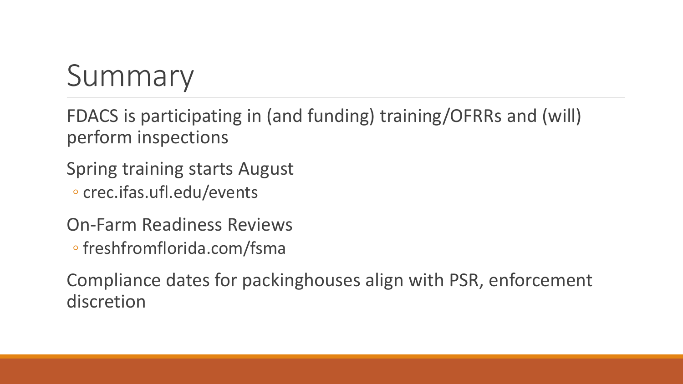# Summary

FDACS is participating in (and funding) training/OFRRs and (will) perform inspections

Spring training starts August

◦ crec.ifas.ufl.edu/events

On-Farm Readiness Reviews ◦ freshfromflorida.com/fsma

Compliance dates for packinghouses align with PSR, enforcement discretion